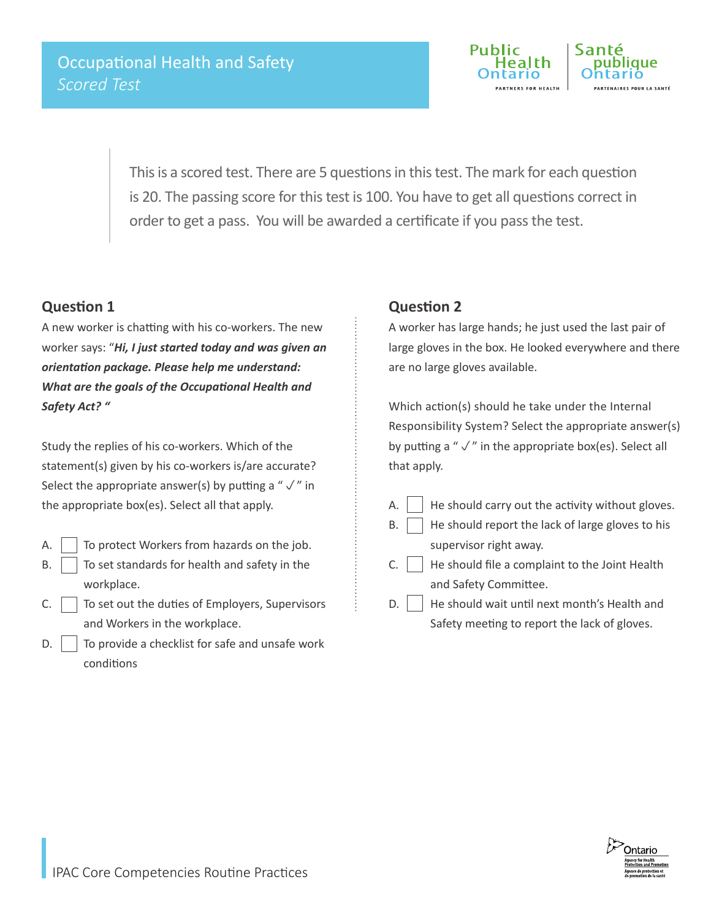

This is a scored test. There are 5 questions in this test. The mark for each question is 20. The passing score for this test is 100. You have to get all questions correct in order to get a pass. You will be awarded a certificate if you pass the test.

## **Question 1**

A new worker is chatting with his co-workers. The new worker says: "*Hi, I just started today and was given an orientation package. Please help me understand: What are the goals of the Occupational Health and Safety Act? "*

Study the replies of his co-workers. Which of the statement(s) given by his co-workers is/are accurate? Select the appropriate answer(s) by putting a " $\sqrt{\ }$ " in the appropriate box(es). Select all that apply.

- A.  $\vert$  To protect Workers from hazards on the job.
- $\mathsf{B.}$  To set standards for health and safety in the workplace.
- $C.$  To set out the duties of Employers, Supervisors and Workers in the workplace.
- $\mathsf{D}$ .  $\vert$  To provide a checklist for safe and unsafe work conditions

## **Question 2**

A worker has large hands; he just used the last pair of large gloves in the box. He looked everywhere and there are no large gloves available.

Which action(s) should he take under the Internal Responsibility System? Select the appropriate answer(s) by putting a " $\sqrt{ }$ " in the appropriate box(es). Select all that apply.

- A.  $\parallel$  He should carry out the activity without gloves.
- $B.$  He should report the lack of large gloves to his
- supervisor right away.  $C.$   $\parallel$  He should file a complaint to the Joint Health
	- and Safety Committee.
- $D.$  He should wait until next month's Health and Safety meeting to report the lack of gloves.

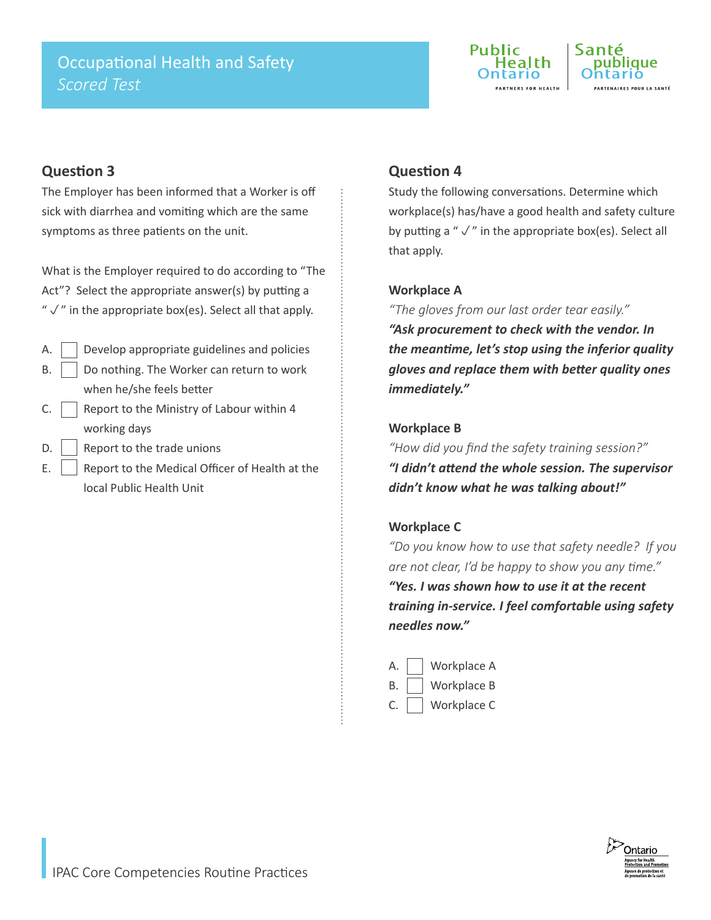

## **Question 3**

The Employer has been informed that a Worker is off sick with diarrhea and vomiting which are the same symptoms as three patients on the unit.

What is the Employer required to do according to "The Act"? Select the appropriate answer(s) by putting a " $\sqrt{ }$ " in the appropriate box(es). Select all that apply.

- $A.$  Develop appropriate guidelines and policies  $B.$  | Do nothing. The Worker can return to work when he/she feels better
- C.  $\Box$  Report to the Ministry of Labour within 4 working days
- $D.$  Report to the trade unions
- E.  $\vert$  Report to the Medical Officer of Health at the local Public Health Unit

## **Question 4**

Study the following conversations. Determine which workplace(s) has/have a good health and safety culture by putting a " $\sqrt{ }$ " in the appropriate box(es). Select all that apply.

#### **Workplace A**

*"The gloves from our last order tear easily." "Ask procurement to check with the vendor. In the meantime, let's stop using the inferior quality gloves and replace them with better quality ones immediately."* 

### **Workplace B**

*"How did you find the safety training session?" "I didn't attend the whole session. The supervisor didn't know what he was talking about!"*

#### **Workplace C**

*"Do you know how to use that safety needle? If you are not clear, I'd be happy to show you any time."*

*"Yes. I was shown how to use it at the recent training in-service. I feel comfortable using safety needles now."*

A. Workplace A B. Workplace B C. Workplace C